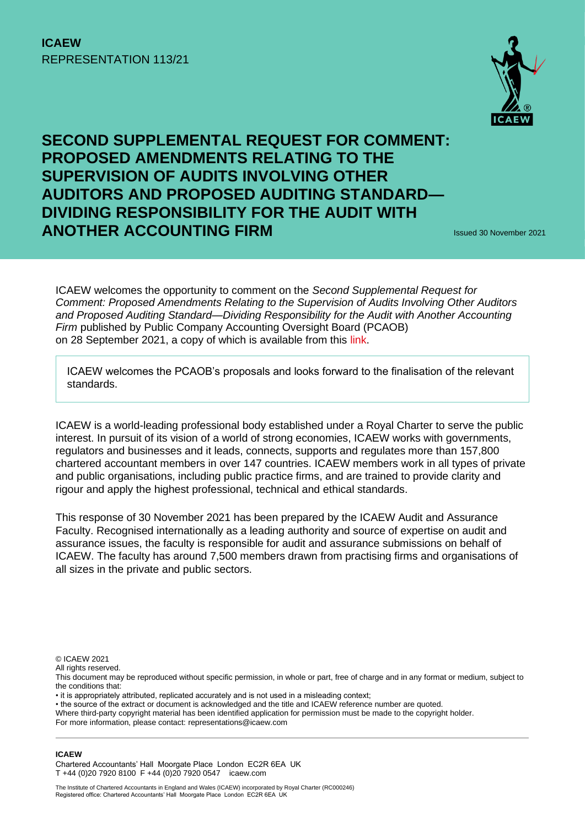# **ICAEW** REPRESENTATION 113/21



# **SECOND SUPPLEMENTAL REQUEST FOR COMMENT: PROPOSED AMENDMENTS RELATING TO THE SUPERVISION OF AUDITS INVOLVING OTHER AUDITORS AND PROPOSED AUDITING STANDARD— DIVIDING RESPONSIBILITY FOR THE AUDIT WITH ANOTHER ACCOUNTING FIRM ISSUED 30 November 2021**

ICAEW welcomes the opportunity to comment on the *Second Supplemental Request for Comment: Proposed Amendments Relating to the Supervision of Audits Involving Other Auditors and Proposed Auditing Standard—Dividing Responsibility for the Audit with Another Accounting Firm* published by Public Company Accounting Oversight Board (PCAOB) on 28 September 2021, a copy of which is available from this [link.](file:///C:/Users/TD2KB/AppData/Local/Microsoft/Windows/INetCache/Content.Outlook/CF02PJ7R/2021-005-other-auditors-ssrc.pdf%20(azureedge.net))

ICAEW welcomes the PCAOB's proposals and looks forward to the finalisation of the relevant standards.

ICAEW is a world-leading professional body established under a Royal Charter to serve the public interest. In pursuit of its vision of a world of strong economies, ICAEW works with governments, regulators and businesses and it leads, connects, supports and regulates more than 157,800 chartered accountant members in over 147 countries. ICAEW members work in all types of private and public organisations, including public practice firms, and are trained to provide clarity and rigour and apply the highest professional, technical and ethical standards.

This response of 30 November 2021 has been prepared by the ICAEW Audit and Assurance Faculty. Recognised internationally as a leading authority and source of expertise on audit and assurance issues, the faculty is responsible for audit and assurance submissions on behalf of ICAEW. The faculty has around 7,500 members drawn from practising firms and organisations of all sizes in the private and public sectors.

© ICAEW 2021

All rights reserved.

- it is appropriately attributed, replicated accurately and is not used in a misleading context;
- the source of the extract or document is acknowledged and the title and ICAEW reference number are quoted.

Where third-party copyright material has been identified application for permission must be made to the copyright holder.

For more information, please contact: representations@icaew.com

#### **ICAEW**

Chartered Accountants' Hall Moorgate Place London EC2R 6EA UK T +44 (0)20 7920 8100 F +44 (0)20 7920 0547 icaew.com

This document may be reproduced without specific permission, in whole or part, free of charge and in any format or medium, subject to the conditions that: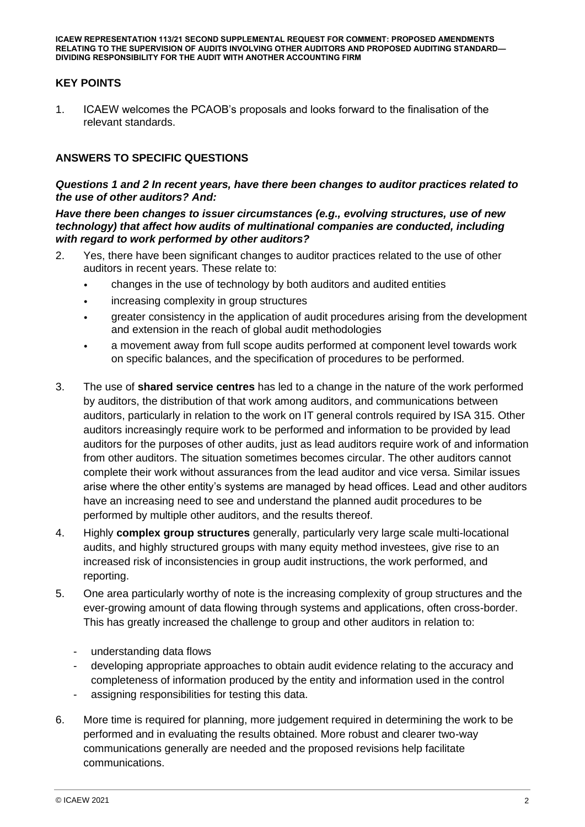### **KEY POINTS**

1. ICAEW welcomes the PCAOB's proposals and looks forward to the finalisation of the relevant standards.

### **ANSWERS TO SPECIFIC QUESTIONS**

#### *Questions 1 and 2 In recent years, have there been changes to auditor practices related to the use of other auditors? And:*

*Have there been changes to issuer circumstances (e.g., evolving structures, use of new technology) that affect how audits of multinational companies are conducted, including with regard to work performed by other auditors?*

- 2. Yes, there have been significant changes to auditor practices related to the use of other auditors in recent years. These relate to:
	- changes in the use of technology by both auditors and audited entities
	- increasing complexity in group structures
	- greater consistency in the application of audit procedures arising from the development and extension in the reach of global audit methodologies
	- a movement away from full scope audits performed at component level towards work on specific balances, and the specification of procedures to be performed.
- 3. The use of **shared service centres** has led to a change in the nature of the work performed by auditors, the distribution of that work among auditors, and communications between auditors, particularly in relation to the work on IT general controls required by ISA 315. Other auditors increasingly require work to be performed and information to be provided by lead auditors for the purposes of other audits, just as lead auditors require work of and information from other auditors. The situation sometimes becomes circular. The other auditors cannot complete their work without assurances from the lead auditor and vice versa. Similar issues arise where the other entity's systems are managed by head offices. Lead and other auditors have an increasing need to see and understand the planned audit procedures to be performed by multiple other auditors, and the results thereof.
- 4. Highly **complex group structures** generally, particularly very large scale multi-locational audits, and highly structured groups with many equity method investees, give rise to an increased risk of inconsistencies in group audit instructions, the work performed, and reporting.
- 5. One area particularly worthy of note is the increasing complexity of group structures and the ever-growing amount of data flowing through systems and applications, often cross-border. This has greatly increased the challenge to group and other auditors in relation to:
	- understanding data flows
	- developing appropriate approaches to obtain audit evidence relating to the accuracy and completeness of information produced by the entity and information used in the control
	- assigning responsibilities for testing this data.
- 6. More time is required for planning, more judgement required in determining the work to be performed and in evaluating the results obtained. More robust and clearer two-way communications generally are needed and the proposed revisions help facilitate communications.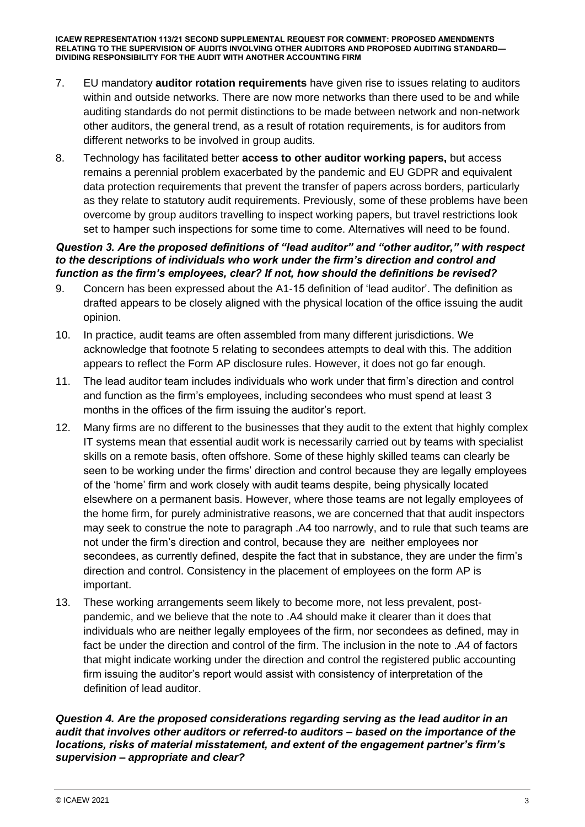- 7. EU mandatory **auditor rotation requirements** have given rise to issues relating to auditors within and outside networks. There are now more networks than there used to be and while auditing standards do not permit distinctions to be made between network and non-network other auditors, the general trend, as a result of rotation requirements, is for auditors from different networks to be involved in group audits.
- 8. Technology has facilitated better **access to other auditor working papers,** but access remains a perennial problem exacerbated by the pandemic and EU GDPR and equivalent data protection requirements that prevent the transfer of papers across borders, particularly as they relate to statutory audit requirements. Previously, some of these problems have been overcome by group auditors travelling to inspect working papers, but travel restrictions look set to hamper such inspections for some time to come. Alternatives will need to be found.

#### *Question 3. Are the proposed definitions of "lead auditor" and "other auditor," with respect to the descriptions of individuals who work under the firm's direction and control and function as the firm's employees, clear? If not, how should the definitions be revised?*

- 9. Concern has been expressed about the A1-15 definition of 'lead auditor'. The definition as drafted appears to be closely aligned with the physical location of the office issuing the audit opinion.
- 10. In practice, audit teams are often assembled from many different jurisdictions. We acknowledge that footnote 5 relating to secondees attempts to deal with this. The addition appears to reflect the Form AP disclosure rules. However, it does not go far enough.
- 11. The lead auditor team includes individuals who work under that firm's direction and control and function as the firm's employees, including secondees who must spend at least 3 months in the offices of the firm issuing the auditor's report.
- 12. Many firms are no different to the businesses that they audit to the extent that highly complex IT systems mean that essential audit work is necessarily carried out by teams with specialist skills on a remote basis, often offshore. Some of these highly skilled teams can clearly be seen to be working under the firms' direction and control because they are legally employees of the 'home' firm and work closely with audit teams despite, being physically located elsewhere on a permanent basis. However, where those teams are not legally employees of the home firm, for purely administrative reasons, we are concerned that that audit inspectors may seek to construe the note to paragraph .A4 too narrowly, and to rule that such teams are not under the firm's direction and control, because they are neither employees nor secondees, as currently defined, despite the fact that in substance, they are under the firm's direction and control. Consistency in the placement of employees on the form AP is important.
- 13. These working arrangements seem likely to become more, not less prevalent, postpandemic, and we believe that the note to .A4 should make it clearer than it does that individuals who are neither legally employees of the firm, nor secondees as defined, may in fact be under the direction and control of the firm. The inclusion in the note to .A4 of factors that might indicate working under the direction and control the registered public accounting firm issuing the auditor's report would assist with consistency of interpretation of the definition of lead auditor.

#### *Question 4. Are the proposed considerations regarding serving as the lead auditor in an audit that involves other auditors or referred-to auditors – based on the importance of the locations, risks of material misstatement, and extent of the engagement partner's firm's supervision – appropriate and clear?*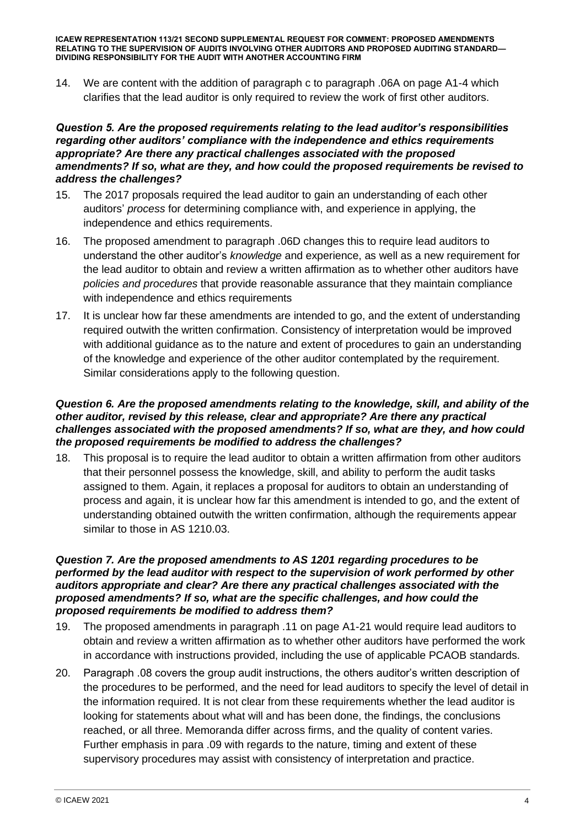14. We are content with the addition of paragraph c to paragraph .06A on page A1-4 which clarifies that the lead auditor is only required to review the work of first other auditors.

#### *Question 5. Are the proposed requirements relating to the lead auditor's responsibilities regarding other auditors' compliance with the independence and ethics requirements appropriate? Are there any practical challenges associated with the proposed amendments? If so, what are they, and how could the proposed requirements be revised to address the challenges?*

- 15. The 2017 proposals required the lead auditor to gain an understanding of each other auditors' *process* for determining compliance with, and experience in applying, the independence and ethics requirements.
- 16. The proposed amendment to paragraph .06D changes this to require lead auditors to understand the other auditor's *knowledge* and experience, as well as a new requirement for the lead auditor to obtain and review a written affirmation as to whether other auditors have *policies and procedures* that provide reasonable assurance that they maintain compliance with independence and ethics requirements
- 17. It is unclear how far these amendments are intended to go, and the extent of understanding required outwith the written confirmation. Consistency of interpretation would be improved with additional guidance as to the nature and extent of procedures to gain an understanding of the knowledge and experience of the other auditor contemplated by the requirement. Similar considerations apply to the following question.

#### *Question 6. Are the proposed amendments relating to the knowledge, skill, and ability of the other auditor, revised by this release, clear and appropriate? Are there any practical challenges associated with the proposed amendments? If so, what are they, and how could the proposed requirements be modified to address the challenges?*

18. This proposal is to require the lead auditor to obtain a written affirmation from other auditors that their personnel possess the knowledge, skill, and ability to perform the audit tasks assigned to them. Again, it replaces a proposal for auditors to obtain an understanding of process and again, it is unclear how far this amendment is intended to go, and the extent of understanding obtained outwith the written confirmation, although the requirements appear similar to those in AS 1210.03.

#### *Question 7. Are the proposed amendments to AS 1201 regarding procedures to be performed by the lead auditor with respect to the supervision of work performed by other auditors appropriate and clear? Are there any practical challenges associated with the proposed amendments? If so, what are the specific challenges, and how could the proposed requirements be modified to address them?*

- 19. The proposed amendments in paragraph .11 on page A1-21 would require lead auditors to obtain and review a written affirmation as to whether other auditors have performed the work in accordance with instructions provided, including the use of applicable PCAOB standards.
- 20. Paragraph .08 covers the group audit instructions, the others auditor's written description of the procedures to be performed, and the need for lead auditors to specify the level of detail in the information required. It is not clear from these requirements whether the lead auditor is looking for statements about what will and has been done, the findings, the conclusions reached, or all three. Memoranda differ across firms, and the quality of content varies. Further emphasis in para .09 with regards to the nature, timing and extent of these supervisory procedures may assist with consistency of interpretation and practice.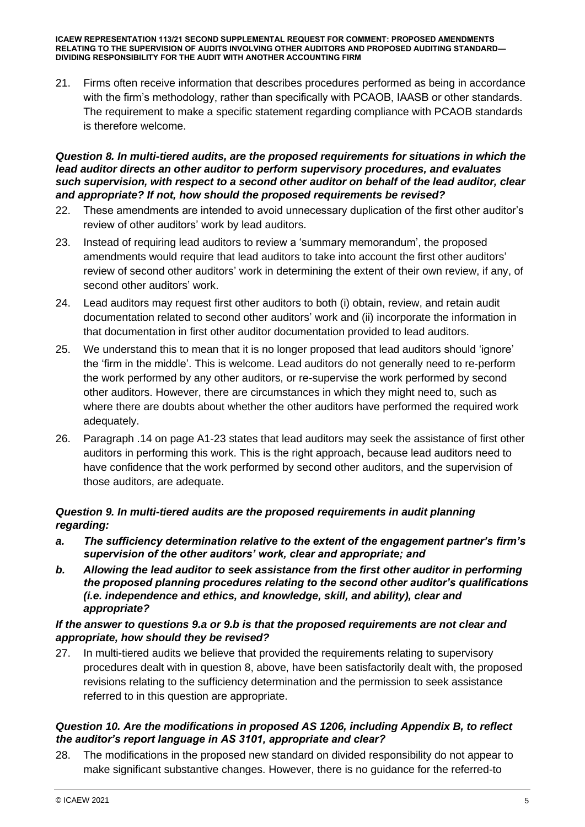21. Firms often receive information that describes procedures performed as being in accordance with the firm's methodology, rather than specifically with PCAOB, IAASB or other standards. The requirement to make a specific statement regarding compliance with PCAOB standards is therefore welcome.

#### *Question 8. In multi-tiered audits, are the proposed requirements for situations in which the lead auditor directs an other auditor to perform supervisory procedures, and evaluates such supervision, with respect to a second other auditor on behalf of the lead auditor, clear and appropriate? If not, how should the proposed requirements be revised?*

- 22. These amendments are intended to avoid unnecessary duplication of the first other auditor's review of other auditors' work by lead auditors.
- 23. Instead of requiring lead auditors to review a 'summary memorandum', the proposed amendments would require that lead auditors to take into account the first other auditors' review of second other auditors' work in determining the extent of their own review, if any, of second other auditors' work.
- 24. Lead auditors may request first other auditors to both (i) obtain, review, and retain audit documentation related to second other auditors' work and (ii) incorporate the information in that documentation in first other auditor documentation provided to lead auditors.
- 25. We understand this to mean that it is no longer proposed that lead auditors should 'ignore' the 'firm in the middle'. This is welcome. Lead auditors do not generally need to re-perform the work performed by any other auditors, or re-supervise the work performed by second other auditors. However, there are circumstances in which they might need to, such as where there are doubts about whether the other auditors have performed the required work adequately.
- 26. Paragraph .14 on page A1-23 states that lead auditors may seek the assistance of first other auditors in performing this work. This is the right approach, because lead auditors need to have confidence that the work performed by second other auditors, and the supervision of those auditors, are adequate.

## *Question 9. In multi-tiered audits are the proposed requirements in audit planning regarding:*

- *a. The sufficiency determination relative to the extent of the engagement partner's firm's supervision of the other auditors' work, clear and appropriate; and*
- *b. Allowing the lead auditor to seek assistance from the first other auditor in performing the proposed planning procedures relating to the second other auditor's qualifications (i.e. independence and ethics, and knowledge, skill, and ability), clear and appropriate?*

#### *If the answer to questions 9.a or 9.b is that the proposed requirements are not clear and appropriate, how should they be revised?*

27. In multi-tiered audits we believe that provided the requirements relating to supervisory procedures dealt with in question 8, above, have been satisfactorily dealt with, the proposed revisions relating to the sufficiency determination and the permission to seek assistance referred to in this question are appropriate.

#### *Question 10. Are the modifications in proposed AS 1206, including Appendix B, to reflect the auditor's report language in AS 3101, appropriate and clear?*

28. The modifications in the proposed new standard on divided responsibility do not appear to make significant substantive changes. However, there is no guidance for the referred-to